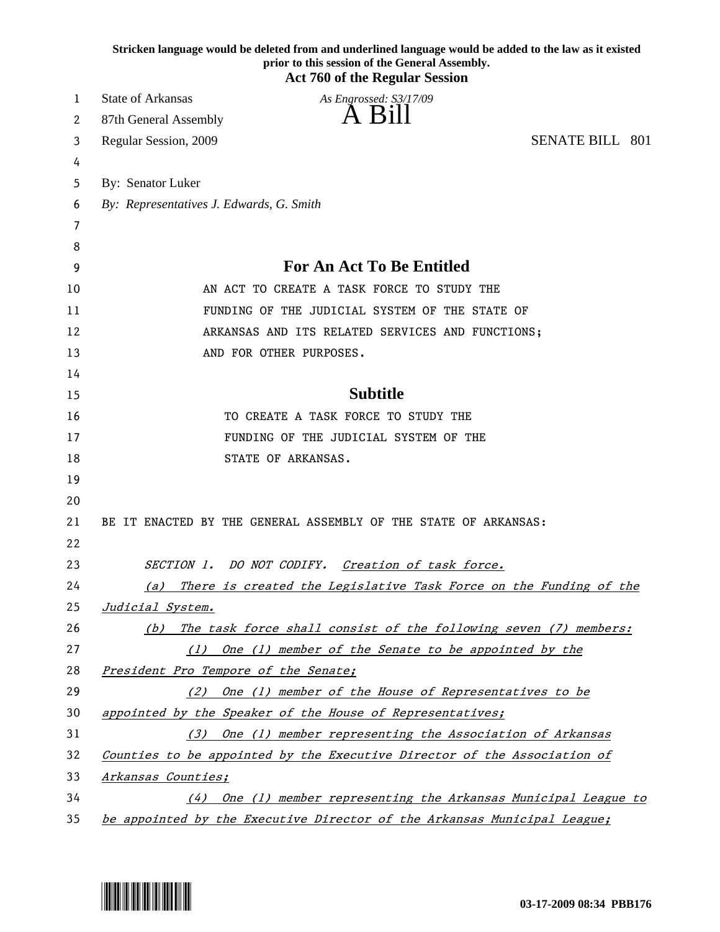|          | Stricken language would be deleted from and underlined language would be added to the law as it existed<br>prior to this session of the General Assembly.<br><b>Act 760 of the Regular Session</b> |
|----------|----------------------------------------------------------------------------------------------------------------------------------------------------------------------------------------------------|
| 1        | <b>State of Arkansas</b><br>As Engrossed: S3/17/09                                                                                                                                                 |
| 2        | A Bill<br>87th General Assembly                                                                                                                                                                    |
| 3        | <b>SENATE BILL 801</b><br>Regular Session, 2009                                                                                                                                                    |
| 4        |                                                                                                                                                                                                    |
| 5        | By: Senator Luker                                                                                                                                                                                  |
| 6        | By: Representatives J. Edwards, G. Smith                                                                                                                                                           |
| 7        |                                                                                                                                                                                                    |
| 8        |                                                                                                                                                                                                    |
| 9        | <b>For An Act To Be Entitled</b>                                                                                                                                                                   |
| 10       | AN ACT TO CREATE A TASK FORCE TO STUDY THE                                                                                                                                                         |
| 11       | FUNDING OF THE JUDICIAL SYSTEM OF THE STATE OF                                                                                                                                                     |
| 12       | ARKANSAS AND ITS RELATED SERVICES AND FUNCTIONS;                                                                                                                                                   |
| 13       | AND FOR OTHER PURPOSES.                                                                                                                                                                            |
| 14       |                                                                                                                                                                                                    |
| 15       | <b>Subtitle</b>                                                                                                                                                                                    |
| 16       | TO CREATE A TASK FORCE TO STUDY THE                                                                                                                                                                |
| 17       | FUNDING OF THE JUDICIAL SYSTEM OF THE                                                                                                                                                              |
| 18       | STATE OF ARKANSAS.                                                                                                                                                                                 |
| 19       |                                                                                                                                                                                                    |
| 20       |                                                                                                                                                                                                    |
| 21<br>22 | BE IT ENACTED BY THE GENERAL ASSEMBLY OF THE STATE OF ARKANSAS:                                                                                                                                    |
| 23       | SECTION 1. DO NOT CODIFY.<br>Creation of task force.                                                                                                                                               |
| 24       | There is created the Legislative Task Force on the Funding of the<br>(a)                                                                                                                           |
| 25       | Judicial System.                                                                                                                                                                                   |
| 26       | The task force shall consist of the following seven (7) members:<br>(b)                                                                                                                            |
| 27       | (1) One (1) member of the Senate to be appointed by the                                                                                                                                            |
| 28       | President Pro Tempore of the Senate;                                                                                                                                                               |
| 29       | (2) One (1) member of the House of Representatives to be                                                                                                                                           |
| 30       | appointed by the Speaker of the House of Representatives;                                                                                                                                          |
| 31       | (3) One (1) member representing the Association of Arkansas                                                                                                                                        |
| 32       | Counties to be appointed by the Executive Director of the Association of                                                                                                                           |
| 33       | Arkansas Counties;                                                                                                                                                                                 |
| 34       | (4) One (1) member representing the Arkansas Municipal League to                                                                                                                                   |
| 35       | be appointed by the Executive Director of the Arkansas Municipal League;                                                                                                                           |

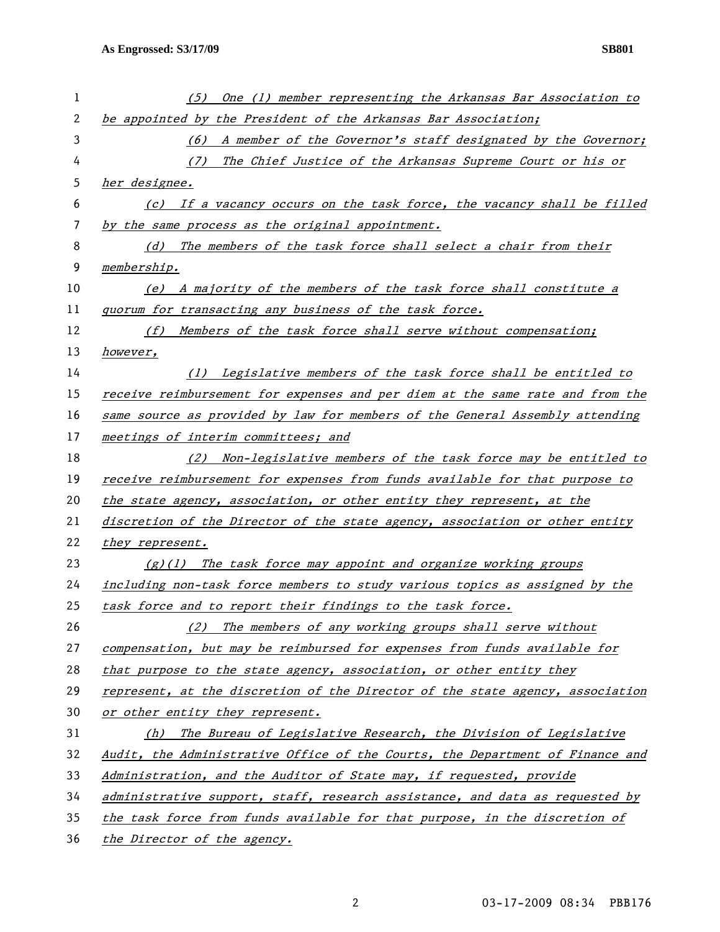| 1  | One (1) member representing the Arkansas Bar Association to<br>(5)            |
|----|-------------------------------------------------------------------------------|
| 2  | be appointed by the President of the Arkansas Bar Association;                |
| 3  | (6) A member of the Governor's staff designated by the Governor;              |
| 4  | The Chief Justice of the Arkansas Supreme Court or his or<br>(7)              |
| 5  | her designee.                                                                 |
| 6  | (c) If a vacancy occurs on the task force, the vacancy shall be filled        |
| 7  | by the same process as the original appointment.                              |
| 8  | The members of the task force shall select a chair from their<br>(d)          |
| 9  | membership.                                                                   |
| 10 | (e) A majority of the members of the task force shall constitute a            |
| 11 | quorum for transacting any business of the task force.                        |
| 12 | Members of the task force shall serve without compensation;<br>(f)            |
| 13 | however,                                                                      |
| 14 | (1) Legislative members of the task force shall be entitled to                |
| 15 | receive reimbursement for expenses and per diem at the same rate and from the |
| 16 | same source as provided by law for members of the General Assembly attending  |
| 17 | meetings of interim committees; and                                           |
| 18 | (2) Non-legislative members of the task force may be entitled to              |
| 19 | receive reimbursement for expenses from funds available for that purpose to   |
| 20 | the state agency, association, or other entity they represent, at the         |
| 21 | discretion of the Director of the state agency, association or other entity   |
| 22 | they represent.                                                               |
| 23 | $(g)(1)$ The task force may appoint and organize working groups               |
| 24 | including non-task force members to study various topics as assigned by the   |
| 25 | task force and to report their findings to the task force.                    |
| 26 | The members of any working groups shall serve without<br>(2)                  |
| 27 | compensation, but may be reimbursed for expenses from funds available for     |
| 28 | that purpose to the state agency, association, or other entity they           |
| 29 | represent, at the discretion of the Director of the state agency, association |
| 30 | or other entity they represent.                                               |
| 31 | The Bureau of Legislative Research, the Division of Legislative<br>(h)        |
| 32 | Audit, the Administrative Office of the Courts, the Department of Finance and |
| 33 | Administration, and the Auditor of State may, if requested, provide           |
| 34 | administrative support, staff, research assistance, and data as requested by  |
| 35 | the task force from funds available for that purpose, in the discretion of    |
| 36 | the Director of the agency.                                                   |